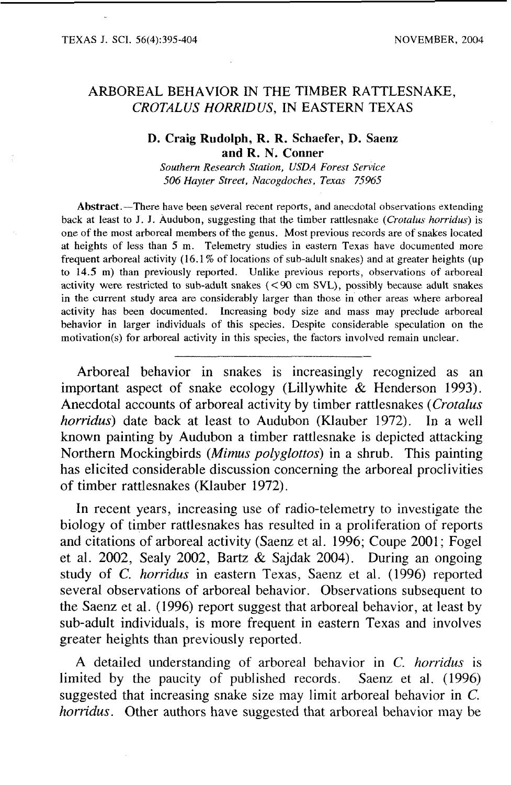# ARBOREAL BEHAVIOR IN THE TIMBER RATTLESNAKE, *CROTALUS HORRID US,* IN EASTERN TEXAS

#### **D. Craig Rudolph, R. R. Schaefer, D. Saenz and R. N. Conner**

*Southern Research Station, USDA Forest Service 506 Hayter Street, Nacogdoches, Texas 75965* 

Abstract.-There have been several recent reports, and anecdotal observations extending back at least to J. J. Audubon, suggesting that the timber rattlesnake *(Crotalus horridus)* is one of the most arboreal members of the genus. Most previous records are of snakes located at heights of less than 5 m. Telemetry studies in eastern Texas have documented more frequent arboreal activity (16.1 % of locations of sub-adult snakes) and at greater heights (up to 14.5 m) than previously reported. Unlike previous reports, observations of arboreal activity were restricted to sub-adult snakes (<90 cm **SVL),** possibly because adult snakes in the current study area are considerably larger than those in other areas where arboreal activity has been documented. Increasing body size and mass may preclude arboreal behavior in larger individuals of this species. Despite considerable speculation on the motivation(s) for arboreal activity in this species, the factors involved remain unclear.

Arboreal behavior in snakes is increasingly recognized as an important aspect of snake ecology (Lillywhite & Henderson 1993). Anecdotal accounts of arboreal activity by timber rattlesnakes (Crotalus horridus) date back at least to Audubon (Klauber 1972). In a well known painting by Audubon a timber rattlesnake is depicted attacking Northern Mockingbirds *(Mimus* polyglottos) in a shrub. This painting has elicited considerable discussion concerning the arboreal proclivities of timber rattlesnakes (Klauber 1972).

In recent years, increasing use of radio-telemetry to investigate the biology of timber rattlesnakes has resulted in a proliferation of reports and citations of arboreal activity (Saenz et al. 1996; Coupe 2001; Fogel et al. 2002, Sealy 2002, Bartz & Sajdak 2004). During an ongoing study of **C.** horridus in eastern Texas, Saenz et al. (1996) reported several observations of arboreal behavior. Observations subsequent to the Saenz et al. (1996) report suggest that arboreal behavior, at least by sub-adult individuals, is more frequent in eastern Texas and involves greater heights than previously reported.

A detailed understanding of arboreal behavior in *C.* horridus is limited by the paucity of published records. Saenz et al. (1996) suggested that increasing snake size may limit arboreal behavior in C. horridus. Other authors have suggested that arboreal behavior may be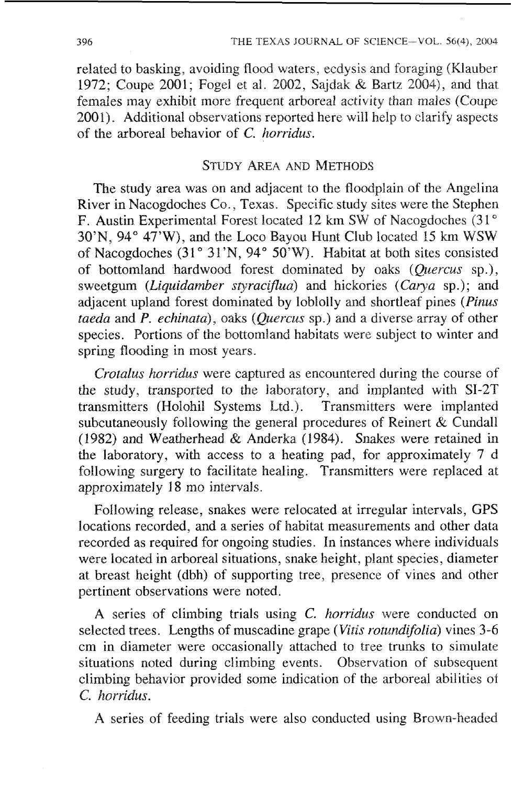related to basking. avoiding flood waters. ecdysis and foraging (Klauber 1972; Coupe 2001; Fogel et al. 2002, Sajdak & Bartz 2004), and that females may exhibit more frequent arboreal activity than males (Coupe 2001). Additional observations reported here will help to clarify aspects of the arboreal behavior of *C.* horridus.

## STUDY AREA **AND** METHODS

The study area was on and adjacent to the floodplain of the Angelina River in Nacogdoches Co., Texas. Specific study sites were the Stephen F. Austin Experimental Forest located 12 km SW of Nacogdoches (31°  $30'N$ ,  $94° 47'W$ , and the Loco Bayou Hunt Club located 15 km WSW of Nacogdoches (31° 31'N, 94° 50'W). Habitat at both sites consisted of bottomland hardwood forest dominated by oaks (Quercus sp.), sweetgum (Liquidamber styraciflua) and hickories (Carya sp.); and adjacent upland forest dominated by loblolly and shortleaf pines (Pinus taeda and  $\hat{P}$ , echinata), oaks (*Quercus* sp.) and a diverse array of other species. Portions of the bottomland habitats were subject to winter and spring flooding in most years.

Crotalus horridus were captured as encountered during the course of the study, transported to the laboratory, and implanted with SI-2T transmitters (Holohil Systems Ltd.). Transmitters were implanted subcutaneously following the general procedures of Reinert & Cundall (1982) and Weatherhead & Anderka (1984). Snakes were retained in the laboratory, with access to a heating pad, for approximately 7 d following surgery to facilitate healing. Transmitters were replaced at approximately 18 mo intervals.

Following release, snakes were relocated at irregular intervals, **GPS**  locations recorded, and a series of habitat measurements and other data recorded as required for ongoing studies. In instances where individuals were located in arboreal situations, snake height, plant species, diameter at breast height (dbh) of supporting tree, presence of vines and other pertinent observations were noted.

A series of climbing trials using C. horridus were conducted on selected trees. Lengths of muscadine grape (Vitis rotundifolia) vines 3-6 em in diameter were occasionally attached to tree trunks to simulate situations noted during climbing events. Observation of subsequent climbing behavior provided some indication of the arboreal abilities of C. horridus.

A series of feeding trials were also conducted using Brown-headed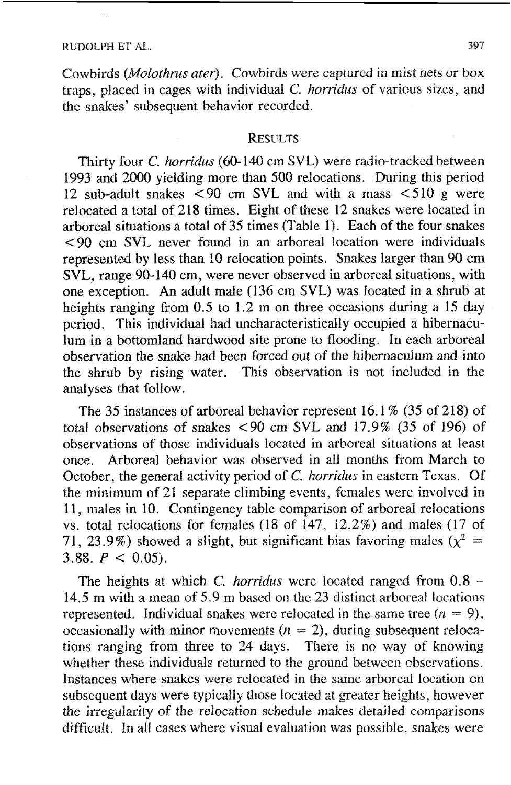Cowbirds (*Molothrus ater*). Cowbirds were captured in mist nets or box traps, placed in cages with individual C. horridus of various sizes, and the snakes' subsequent behavior recorded.

### **RESULTS**

Thirty four *C. horridus* (60-140 cm SVL) were radio-tracked between 1993 and 2000 yielding more than 500 relocations. During this period 12 sub-adult snakes < 90 cm SVL and with a mass < 510 g were relocated a total of 218 times. Eight of these 12 snakes were located in arboreal situations a total of 35 times (Table I). Each of the four snakes €90 cm SVL never found in an arboreal location were individuals represented by less than 10 relocation points. Snakes larger than 90 cm SVL, range 90-140 cm, were never observed in arboreal situations, with one exception. An adult male (136 cm SVL) was located in a shrub at heights ranging from 0.5 to 1.2 m on three occasions during a 15 day period. This individual had uncharacteristically occupied a hibernaculum in a bottomland hardwood site prone to flooding. In each arboreal observation the snake had been forced out of the hibernaculum and into the shrub by rising water. This observation is not included in the analyses that follow.

The 35 instances of arboreal behavior represent 16.1 % (35 of 218) of total observations of snakes  $\leq 90$  cm SVL and 17.9% (35 of 196) of observations of those individuals located in arboreal situations at least once. Arboreal behavior was observed in all months from March to October, the general activity period of *C.* horridus in eastern Texas. Of the minimum of 21 separate climbing events, females were involved in 11, males in 10. Contingency table comparison of arboreal relocations vs. total relocations for females (18 of 147, 12.2%) and males (17 of 71, 23.9%) showed a slight, but significant bias favoring males  $(x^2 =$ 3.88.  $P < 0.05$ ).

The heights at which C. *horridus* were located ranged from  $0.8$  -14.5 m with a mean of 5.9 m based on the 23 distinct arboreal locations represented. Individual snakes were relocated in the same tree  $(n = 9)$ , occasionally with minor movements  $(n = 2)$ , during subsequent relocations ranging from three to 24 days. There is no way of knowing whether these individuals returned to the ground between observations. Instances where snakes were relocated in the same arboreal location on subsequent days were typically those located at greater heights, however the irregularity of the relocation schedule makes detailed comparisons difficult. In all cases where visual evaluation was possible, snakes were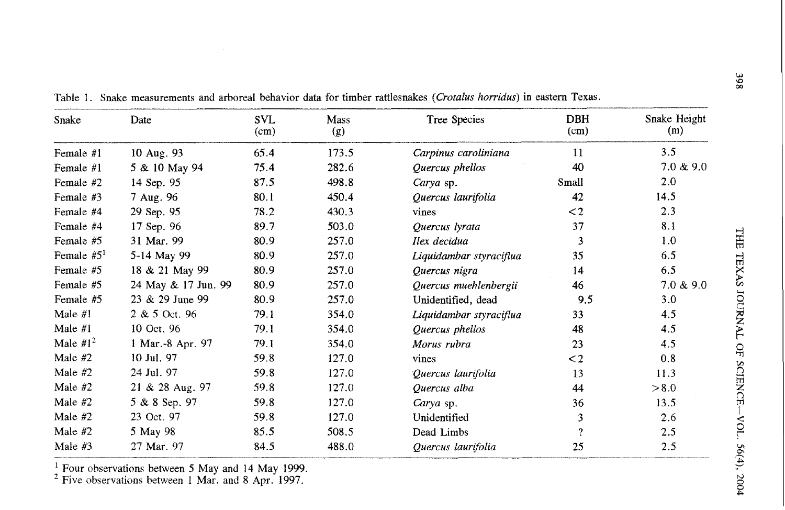| Snake        | Date                | SVL<br>(cm) | Mass<br>(g) | Tree Species            | <b>DBH</b><br>(cm)      | Snake Height<br>(m) |
|--------------|---------------------|-------------|-------------|-------------------------|-------------------------|---------------------|
| Female #1    | 10 Aug. 93          | 65.4        | 173.5       | Carpinus caroliniana    | 11                      | 3.5                 |
| Female #1    | 5 & 10 May 94       | 75.4        | 282.6       | Quercus phellos         | 40                      | 7.0 & 9.0           |
| Female #2    | 14 Sep. 95          | 87.5        | 498.8       | Carya sp.               | Small                   | 2.0                 |
| Female #3    | 7 Aug. 96           | 80.1        | 450.4       | Quercus laurifolia      | 42                      | 14.5                |
| Female #4    | 29 Sep. 95          | 78.2        | 430.3       | vines                   | $\leq$ 2                | 2.3                 |
| Female #4    | 17 Sep. 96          | 89.7        | 503.0       | Quercus lyrata          | 37                      | 8.1                 |
| Female #5    | 31 Mar. 99          | 80.9        | 257.0       | Ilex decidua            | 3                       | 1.0                 |
| Female $#51$ | 5-14 May 99         | 80.9        | 257.0       | Liquidambar styraciflua | 35                      | 6.5                 |
| Female #5    | 18 & 21 May 99      | 80.9        | 257.0       | Quercus nigra           | 14                      | 6.5                 |
| Female #5    | 24 May & 17 Jun. 99 | 80.9        | 257.0       | Quercus muehlenbergii   | 46                      | 7.0 & 9.0           |
| Female #5    | 23 & 29 June 99     | 80.9        | 257.0       | Unidentified, dead      | 9.5                     | 3.0                 |
| Male $#1$    | 2 & 5 Oct. 96       | 79.1        | 354.0       | Liquidambar styraciflua | 33                      | 4.5                 |
| Male $#1$    | 10 Oct. 96          | 79.1        | 354.0       | Quercus phellos         | 48                      | 4.5                 |
| Male $#1^2$  | 1 Mar.-8 Apr. 97    | 79.1        | 354.0       | Morus rubra             | 23                      | 4.5                 |
| Male $#2$    | 10 Jul. 97          | 59.8        | 127.0       | vines                   | $\leq$ 2                | 0.8                 |
| Male $#2$    | 24 Jul. 97          | 59.8        | 127.0       | Quercus laurifolia      | 13                      | 11.3                |
| Male #2      | 21 & 28 Aug. 97     | 59.8        | 127.0       | Quercus alba            | 44                      | > 8.0               |
| Male $#2$    | 5 & 8 Sep. 97       | 59.8        | 127.0       | Carya sp.               | 36                      | 13.5                |
| Male #2      | 23 Oct. 97          | 59.8        | 127.0       | Unidentified            | 3                       | 2.6                 |
| Male #2      | 5 May 98            | 85.5        | 508.5       | Dead Limbs              | $\overline{\mathbf{?}}$ | 2.5                 |
| Male #3      | 27 Mar. 97          | 84.5        | 488.0       | Quercus laurifolia      | 25                      | 2.5                 |

Table 1. Snake measurements and arboreal behavior data for timber rattlesnakes *(Crotalus horridus)* in eastern Texas.

' Four observations between 5 May and 14 May 1999.

Five observations between 1 Mar. and 8 Apr. 1997.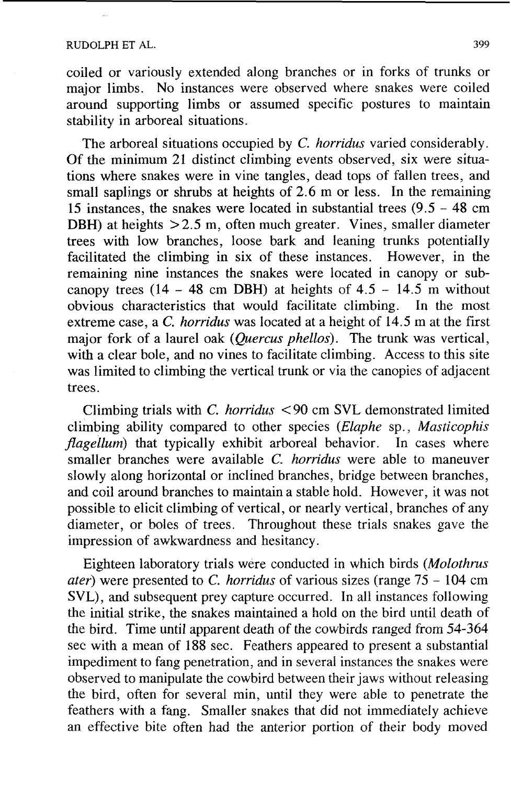#### RUDOLPH ET AL. 399

coiled or variously extended along branches or in forks of trunks or major limbs. No instances were observed where snakes were coiled around supporting limbs or assumed specific postures to maintain stability in arboreal situations.

The arboreal situations occupied by C. horridus varied considerably. Of the minimum 21 distinct climbing events observed, six were situations where snakes were in vine tangles, dead tops of fallen trees, and small saplings or shrubs at heights of 2.6 m or less. In the remaining 15 instances, the snakes were located in substantial trees (9.5 - 48 cm DBH) at heights  $>2.5$  m, often much greater. Vines, smaller diameter trees with low branches, loose bark and leaning trunks potentiaIIy facilitated the climbing in six of these instances. However, in the remaining nine instances the snakes were located in canopy or subcanopy trees (14 - 48 cm DBH) at heights of  $4.5 - 14.5$  m without obvious characteristics that would facilitate climbing. In the most extreme case, a C. *horridus* was located at a height of 14.5 m at the first major fork of a laurel oak (*Quercus phellos*). The trunk was vertical, with a clear bole, and no vines to facilitate climbing. Access to this site was limited to climbing the vertical trunk or via the canopies of adjacent trees.

Climbing trials with C. horridus < 90 cm SVL demonstrated limited climbing ability compared to other species (Elaphe sp., Masticophis  $fla$ gellum) that typically exhibit arboreal behavior. In cases where smaller branches were available C. *horridus* were able to maneuver slowly along horizontal or inclined branches, bridge between branches, and coil around branches to maintain a stable hold. However, it was not possible to elicit climbing of vertical, or nearly vertical, branches of any diameter, or boles of trees. Throughout these trials snakes gave the impression of awkwardness and hesitancy.

Eighteen laboratory trials were conducted in which birds (Molothrus ater) were presented to *C.* horridus of various sizes (range 75 - 104 cm SVL), and subsequent prey capture occurred. In all instances following the initial strike, the snakes maintained a hold on the bird until death of the bird. Time until apparent death of the cowbirds ranged from 54-364 sec with a mean of 188 see. Feathers appeared to present a substantial impediment to fang penetration, and in several instances the snakes were observed to manipulate the cowbird between their jaws without releasing the bird, often for several min, until they were able to penetrate the feathers with a fang. Smaller snakes that did not immediately achieve an effective bite often had the anterior portion of their body moved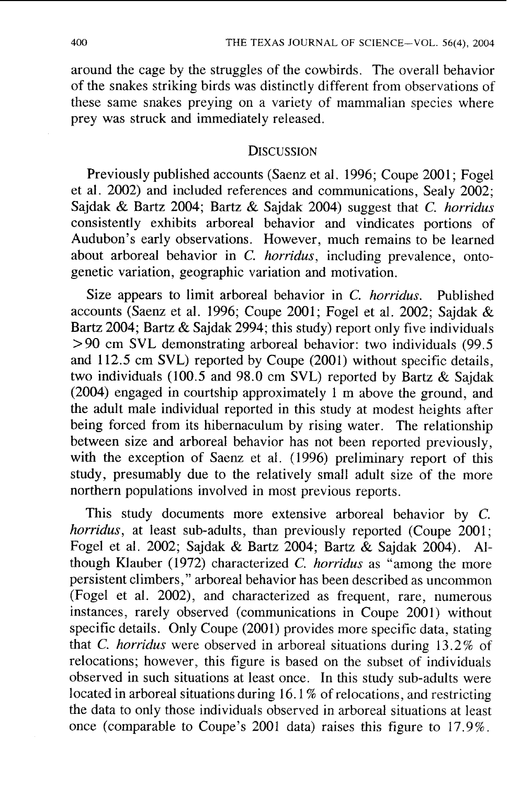around the cage by the struggles of the cowbirds. The overall behavior of the snakes striking birds was distinctly different from observations of these same snakes preying on a variety of mammalian species where prey was struck and immediately released.

#### **DISCUSSION**

Previously published accounts (Saenz et al. 1996; Coupe 2001; Fogel et al. 2002) and included references and communications, Sealy 2002; Sajdak & Bartz 2004; Bartz & Sajdak 2004) suggest that C. horridus consistently exhibits arboreal behavior and vindicates portions of Audubon's early observations. However, much remains to be learned about arboreal behavior in C. *horridus*, including prevalence, ontogenetic variation, geographic variation and motivation.

Size appears to limit arboreal behavior in C. horridus. Published accounts (Saenz et al. 1996; Coupe 2001; Fogel et al. 2002; Sajdak & Bartz 2004; Bartz & Sajdak 2994; this study) report only five individuals > 90 cm SVL demonstrating arboreal behavior: two individuals (99.5 and 112.5 cm SVL) reported by Coupe (2001) without specific details, two individuals (100.5 and 98.0 cm SVL) reported by Bartz & Sajdak (2004) engaged in courtship approximately I m above the ground, and the adult male individual reported in this study at modest heights after being forced from its hibernaculum by rising water. The relationship between size and arboreal behavior has not been reported previously, with the exception of Saenz et al. (1996) preliminary report of this study, presumably due to the relatively small adult size of the more northern populations involved in most previous reports.

This study documents more extensive arboreal behavior by C. horridus, at least sub-adults, than previously reported (Coupe 2001; Fogel et al. 2002; Sajdak & Bartz 2004; Bartz & Sajdak 2004). Although Klauber (1972) characterized C. *horridus* as "among the more persistent climbers,'? arboreal behavior has been described as uncommon (Fogel et al. 2002), and characterized as frequent, rare, numerous instances, rarely observed (communications in Coupe 2001) without specific details. Only Coupe (2001) provides more specific data, stating that C. horridus were observed in arboreal situations during 13.2% of relocations; however, this figure is based on the subset of individuals observed in such situations at least once. In this study sub-adults were located in arboreal situations during 16.1 % of relocations, and restricting the data to only those individuals observed in arboreal situations at least once (comparable to Coupe's 2001 data) raises this figure to 17.9%.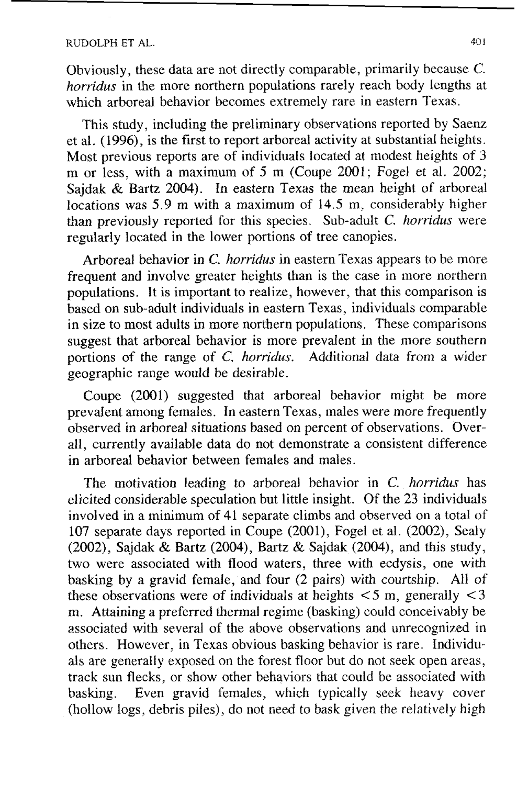### RUDOLPH ET AL. 401

Obviously, these data are not directly comparable, primarily because **C.**  *horridus* in the more northern populations rarely reach body lengths at which arboreal behavior becomes extremely rare in eastern Texas.

This study, including the preliminary observations reported by Saenz et al. (1996), is the first to report arboreal activity at substantial heights. Most previous reports are of individuals located at modest heights of 3 **rn** or less, with a maximum of 5 m (Coupe 2001; Fogel et al. 2002; Sajdak & Bartz 2004). In eastern Texas the mean height of arboreal locations was 5.9 m with a maximum of 14.5 m, considerably higher than previously reported for this species. Sub-adult C. *horridus* were regularly located in the lower portions of tree canopies.

Arboreal behavior in *C. horridus* in eastern Texas appears to be more frequent and involve greater heights than is the case in more northern populations. It is important to realize, however, that this comparison is based on sub-adult individuals in eastern Texas, individuals comparable in size to most adults in more northern populations. These comparisons suggest that arboreal behavior is more prevalent in the more southern portions of the range of *C. horridus*. Additional data from a wider geographic range would be desirable.

Coupe (2001) suggested that arboreal behavior might be more prevalent among females. In eastern Texas, males were more frequently observed in arboreal situations based on percent of observations. Overall, currently available data do not demonstrate a consistent difference in arboreal behavior between females and males.

The motivation leading to arboreal behavior in C. *horridus* has elicited considerable speculation but little insight. Of the 23 individuals involved in a minimum of 41 separate climbs and observed on a total of 107 separate days reported in Coupe  $(2001)$ , Fogel et al.  $(2002)$ , Sealy (2002), Sajdak & Bartz (2004), Bartz & Sajdak (2004), and this study, two were associated with flood waters, three with ecdysis, one with basking by a gravid female, and four (2 pairs) with courtship. All of these observations were of individuals at heights  $\lt 5$  m, generally  $\lt 3$ m. Attaining a preferred thermal regime (basking) could conceivably be associated with several of the above observations and unrecognized in others. However, in Texas obvious basking behavior is rare. Individuals are generally exposed on the forest floor but do not seek open areas, track sun flecks, or show other behaviors that could be associated with basking. Even gravid females, which typically seek heavy cover (hollow logs, debris piles), do not need to bask given the relatively high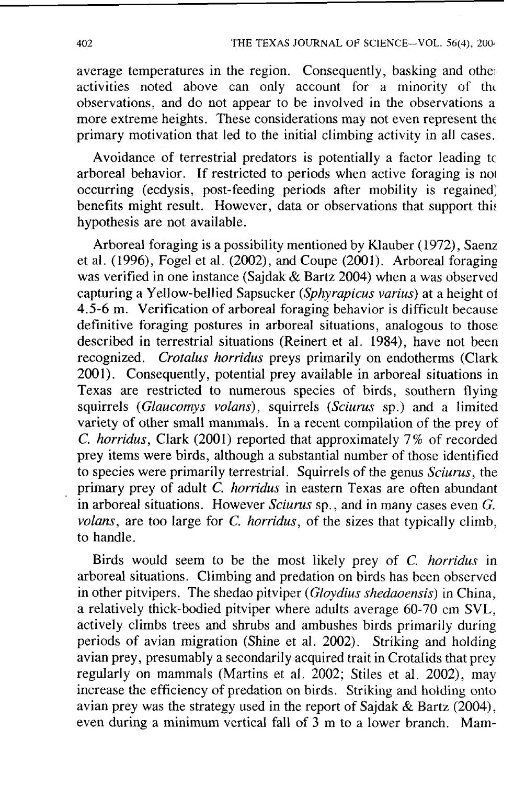average temperatures in the region. Consequently, basking and othe; activities noted above can only account for a minority of tht observations, and do not appear to be involved in the observations a more extreme heights. These considerations may not even represent tht primary motivation that led to the initial climbing activity in all cases.

Avoidance of terrestrial predators is potentially a factor leading tc arboreal behavior. If restricted to periods when active foraging is no1 occurring (ecdysis, post-feeding periods after mobility is regained) benefits might result. However, data or observations that support this hypothesis are not available.

Arboreal foraging is a possibility mentioned by Klauber (1972), Saenz et al. (1996), Fogel et al. (2002), and Coupe (2001). Arboreal foraging was verified in one instance (Sajdak & Bartz 2004) when a was observed capturing a Yellow-bellied Sapsucker (Sphyrapicus varius) at a height of 4.5-6 m. Verification of arboreal foraging behavior is difficult because definitive foraging postures in arboreal situations, analogous to those described in terrestrial situations (Reinert et al. 1984), have not been recognized. Crotalus horridus preys primarily on endotherms (Clark 2001). Consequently, potential prey available in arboreal situations in Texas are restricted to numerous species of birds, southern flying squirrels (Glaucomys volans), squirrels (Sciurus sp.) and a limited variety of other small mammals. In a recent compilation of the prey of C. horridus, Clark (2001) reported that approximately 7% of recorded prey items were birds, although a substantial number of those identified to species were primarily terrestrial. Squirrels of the genus Sciurus, the primary prey of adult  $\dot{C}$ . *horridus* in eastern Texas are often abundant in arboreal situations. However Sciurus sp., and in many cases even G. volans, are too large for C. *horridus*, of the sizes that typically climb, to handle.

Birds would seem to be the most likely prey of *C.* horridus in arboreal situations. Climbing and predation on birds has been observed in other pitvipers. The shedao pitviper (Gloydius shedaoensis) in China, a relatively thick-bodied pitviper where adults average 60-70 cm SVL, actively climbs trees and shrubs and ambushes birds primarily during periods of avian migration (Shine et al. 2002). Striking and holding avian prey, presumably a secondarily acquired trait in Crotalids that prey regularly on mammals (Martins et al. 2002; Stiles et al. 2002), may increase the efficiency of predation on birds. Striking and holding onto avian prey was the strategy used in the report of Sajdak & Bartz (2004), even during a minimum vertical fall of **3** m to a lower branch. Mam-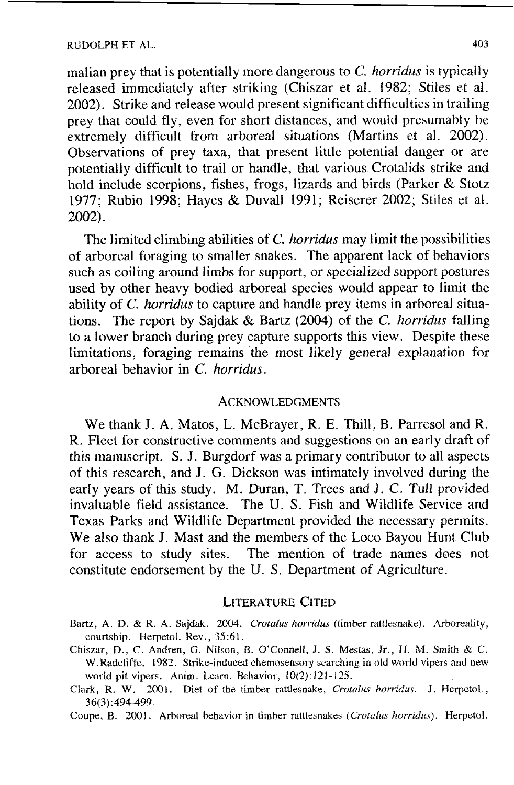#### RUDOLPH ET AL. 403

malian prey that is potentially more dangerous to *C. horridus* is typically released immediately after striking (Chiszar et al. 1982; Stiles et al. 2002). Strike and release would present significant difficulties in trailing prey that could fly, even for short distances, and would presumably be extremely difficult from arboreal situations (Martins et al. 2002). Observations of prey taxa, that present little potential danger or are potentially difficult to trail or handle, that various Crotalids strike and hold include scorpions, fishes, frogs, lizards and birds (Parker & Stotz 1977; Rubio 1998; Hayes & Duvall 1991; Reiserer 2002; Stiles et al. 2002).

The limited climbing abilities of *C. horridus* may limit the possibilities of arboreal foraging to smaller snakes. The apparent lack of behaviors such as coiling around limbs for support, or specialized support postures used by other heavy bodied arboreal species would appear to limit the ability of *C. horridus* to capture and handle prey items in arboreal situations. The report by Sajdak & Bartz (2004) of the *C. horridus* falling to a lower branch during prey capture supports this view. Despite these limitations, foraging remains the most likely general explanation for arboreal behavior in *C. horridus.* 

#### **ACKNOWLEDGMENTS**

We thank J. A. Matos, L. McBrayer, R. E. Thill, B. Parresol and R. R. Fleet for constructive comments and suggestions on an early draft of this manuscript. S. J. Burgdorf was a primary contributor to all aspects of this research, and J. G. Dickson was intimately involved during the early years of this study. M. Duran, T. Trees and **J.** C. Tull provided invaluable field assistance. The U. S. Fish and Wildlife Service and Texas Parks and Wildlife Department provided the necessary permits. We also thank J. Mast and the members of the Loco Bayou Hunt Club for access to study sites. The mention of trade names does not constitute endorsement by the U. S. Department of Agriculture.

#### **LITERATURE CITED**

- Bartz, A. D. & R. A. Sajdak. 2004. *Crotalus horridus* (timber rattlesnake). Arboreality, courtship. Herpetol. Rev., **35:61.**
- Chiszar, D., *C.* Andren, *G.* Nilson, B. O'Connell, J. S. Mestas, Jr., H. M. Smith & C. W.Radcliffe. 1982. Strike-induced chemosensory searching in old world vipers and new world pit vipers. Anim. Learn. Behavior, 10(2): 121- 125.
- Clark, R. W. 2001. Diet of the timber rattlesnake, *Crotalus horridus*. J. Herpetol., 36(3):494-499.

Coupe, B. 2001. Arboreal behavior in timber rattlesnakes *(Crotalus horridus).* Herpetol.